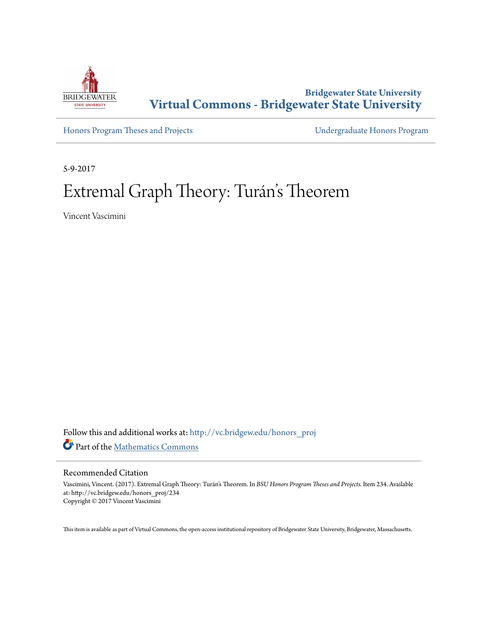

## **Bridgewater State University [Virtual Commons - Bridgewater State University](http://vc.bridgew.edu?utm_source=vc.bridgew.edu%2Fhonors_proj%2F234&utm_medium=PDF&utm_campaign=PDFCoverPages)**

[Honors Program Theses and Projects](http://vc.bridgew.edu/honors_proj?utm_source=vc.bridgew.edu%2Fhonors_proj%2F234&utm_medium=PDF&utm_campaign=PDFCoverPages) [Undergraduate Honors Program](http://vc.bridgew.edu/honors?utm_source=vc.bridgew.edu%2Fhonors_proj%2F234&utm_medium=PDF&utm_campaign=PDFCoverPages)

5-9-2017

# Extremal Graph Theory: Turán 's Theorem

Vincent Vascimini

Follow this and additional works at: [http://vc.bridgew.edu/honors\\_proj](http://vc.bridgew.edu/honors_proj?utm_source=vc.bridgew.edu%2Fhonors_proj%2F234&utm_medium=PDF&utm_campaign=PDFCoverPages) Part of the [Mathematics Commons](http://network.bepress.com/hgg/discipline/174?utm_source=vc.bridgew.edu%2Fhonors_proj%2F234&utm_medium=PDF&utm_campaign=PDFCoverPages)

#### Recommended Citation

Vascimini, Vincent. (2017). Extremal Graph Theory: Turán's Theorem. In *BSU Honors Program Theses and Projects.* Item 234. Available at: http://vc.bridgew.edu/honors\_proj/234 Copyright © 2017 Vincent Vascimini

This item is available as part of Virtual Commons, the open-access institutional repository of Bridgewater State University, Bridgewater, Massachusetts.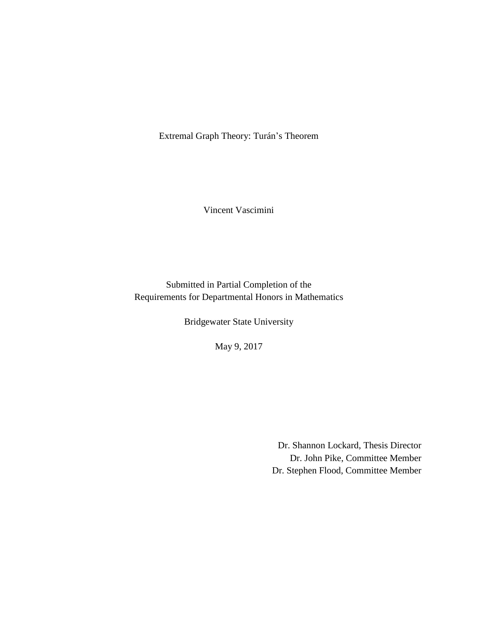Extremal Graph Theory: Turán's Theorem

Vincent Vascimini

Submitted in Partial Completion of the Requirements for Departmental Honors in Mathematics

Bridgewater State University

May 9, 2017

Dr. Shannon Lockard, Thesis Director Dr. John Pike, Committee Member Dr. Stephen Flood, Committee Member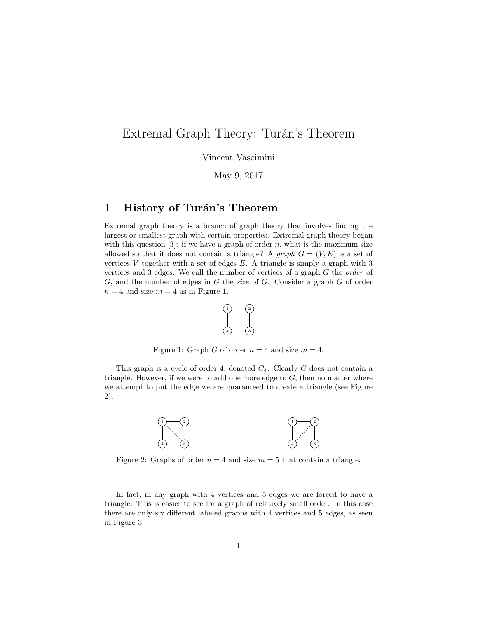## Extremal Graph Theory: Turán's Theorem

Vincent Vascimini

May 9, 2017

#### 1 History of Turán's Theorem

Extremal graph theory is a branch of graph theory that involves finding the largest or smallest graph with certain properties. Extremal graph theory began with this question [3]: if we have a graph of order  $n$ , what is the maximum size allowed so that it does not contain a triangle? A graph  $G = (V, E)$  is a set of vertices V together with a set of edges  $E$ . A triangle is simply a graph with 3 vertices and 3 edges. We call the number of vertices of a graph G the order of  $G$ , and the number of edges in  $G$  the *size* of  $G$ . Consider a graph  $G$  of order  $n = 4$  and size  $m = 4$  as in Figure 1.



Figure 1: Graph G of order  $n = 4$  and size  $m = 4$ .

This graph is a cycle of order 4, denoted  $C_4$ . Clearly  $G$  does not contain a triangle. However, if we were to add one more edge to  $G$ , then no matter where we attempt to put the edge we are guaranteed to create a triangle (see Figure 2).



Figure 2: Graphs of order  $n = 4$  and size  $m = 5$  that contain a triangle.

In fact, in any graph with 4 vertices and 5 edges we are forced to have a triangle. This is easier to see for a graph of relatively small order. In this case there are only six different labeled graphs with 4 vertices and 5 edges, as seen in Figure 3.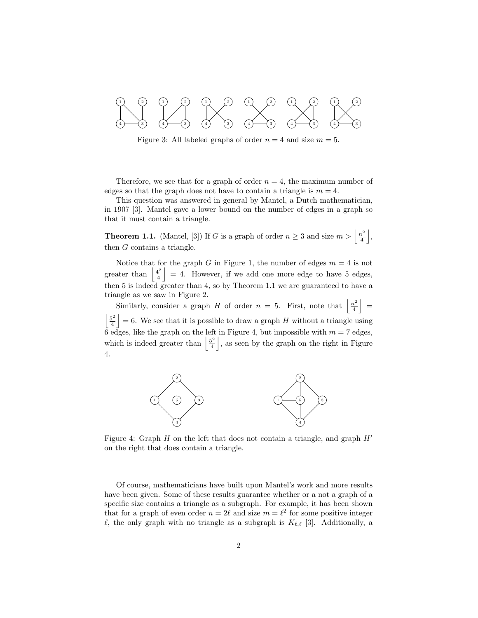

Figure 3: All labeled graphs of order  $n = 4$  and size  $m = 5$ .

Therefore, we see that for a graph of order  $n = 4$ , the maximum number of edges so that the graph does not have to contain a triangle is  $m = 4$ .

This question was answered in general by Mantel, a Dutch mathematician, in 1907 [3]. Mantel gave a lower bound on the number of edges in a graph so that it must contain a triangle.

**Theorem 1.1.** (Mantel, [3]) If G is a graph of order  $n \geq 3$  and size  $m > \left\lfloor \frac{n^2}{4} \right\rfloor$  $\frac{i^2}{4}$ , then G contains a triangle.

Notice that for the graph G in Figure 1, the number of edges  $m = 4$  is not greater than  $\frac{4^2}{4}$  $\left| \frac{d^2}{4} \right| = 4$ . However, if we add one more edge to have 5 edges, then 5 is indeed greater than 4, so by Theorem 1.1 we are guaranteed to have a triangle as we saw in Figure 2.

Similarly, consider a graph H of order  $n = 5$ . First, note that  $\frac{n^2}{4}$  $\frac{u^2}{4}$  =  $\frac{5^2}{2}$  $\left|\frac{b^2}{4}\right|=6$ . We see that it is possible to draw a graph H without a triangle using  $\ddot{6}$  edges, like the graph on the left in Figure 4, but impossible with  $m = 7$  edges, which is indeed greater than  $\frac{5^2}{4}$  $\frac{5^2}{4}$ , as seen by the graph on the right in Figure 4.



Figure 4: Graph H on the left that does not contain a triangle, and graph  $H'$ on the right that does contain a triangle.

Of course, mathematicians have built upon Mantel's work and more results have been given. Some of these results guarantee whether or a not a graph of a specific size contains a triangle as a subgraph. For example, it has been shown that for a graph of even order  $n = 2\ell$  and size  $m = \ell^2$  for some positive integer  $\ell$ , the only graph with no triangle as a subgraph is  $K_{\ell,\ell}$  [3]. Additionally, a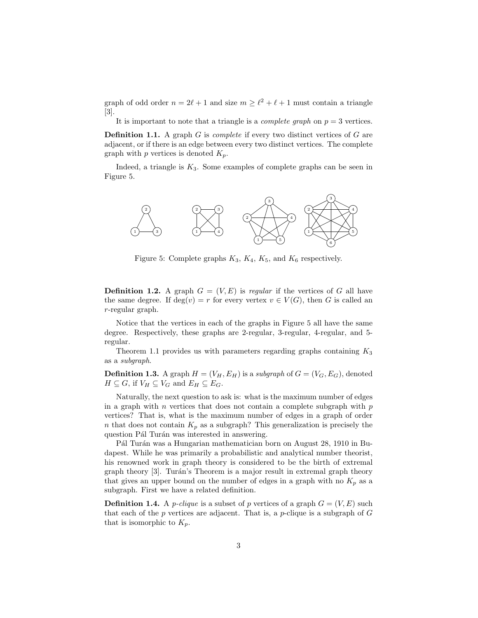graph of odd order  $n = 2\ell + 1$  and size  $m \geq \ell^2 + \ell + 1$  must contain a triangle [3].

It is important to note that a triangle is a *complete graph* on  $p = 3$  vertices.

**Definition 1.1.** A graph  $G$  is *complete* if every two distinct vertices of  $G$  are adjacent, or if there is an edge between every two distinct vertices. The complete graph with  $p$  vertices is denoted  $K_p$ .

Indeed, a triangle is  $K_3$ . Some examples of complete graphs can be seen in Figure 5.



Figure 5: Complete graphs  $K_3$ ,  $K_4$ ,  $K_5$ , and  $K_6$  respectively.

**Definition 1.2.** A graph  $G = (V, E)$  is regular if the vertices of G all have the same degree. If  $deg(v) = r$  for every vertex  $v \in V(G)$ , then G is called an r-regular graph.

Notice that the vertices in each of the graphs in Figure 5 all have the same degree. Respectively, these graphs are 2-regular, 3-regular, 4-regular, and 5 regular.

Theorem 1.1 provides us with parameters regarding graphs containing  $K_3$ as a subgraph.

**Definition 1.3.** A graph  $H = (V_H, E_H)$  is a subgraph of  $G = (V_G, E_G)$ , denoted  $H \subseteq G$ , if  $V_H \subseteq V_G$  and  $E_H \subseteq E_G$ .

Naturally, the next question to ask is: what is the maximum number of edges in a graph with  $n$  vertices that does not contain a complete subgraph with  $p$ vertices? That is, what is the maximum number of edges in a graph of order n that does not contain  $K_p$  as a subgraph? This generalization is precisely the question Pál Turán was interested in answering.

Pál Turán was a Hungarian mathematician born on August 28, 1910 in Budapest. While he was primarily a probabilistic and analytical number theorist, his renowned work in graph theory is considered to be the birth of extremal graph theory [3]. Turán's Theorem is a major result in extremal graph theory that gives an upper bound on the number of edges in a graph with no  $K_p$  as a subgraph. First we have a related definition.

**Definition 1.4.** A *p*-clique is a subset of *p* vertices of a graph  $G = (V, E)$  such that each of the  $p$  vertices are adjacent. That is, a  $p$ -clique is a subgraph of  $G$ that is isomorphic to  $K_p$ .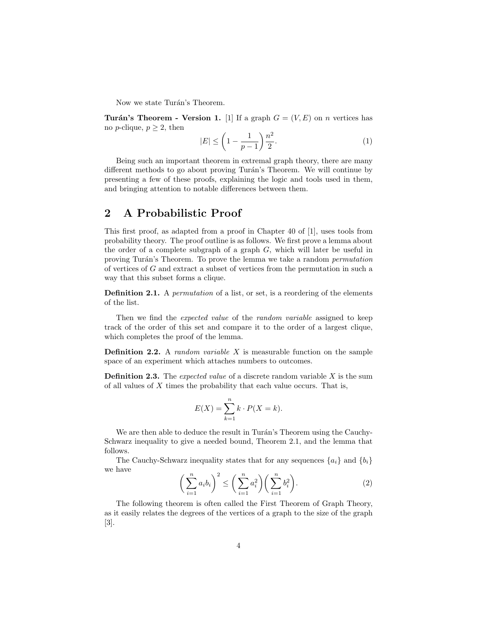Now we state Turán's Theorem.

**Turán's Theorem - Version 1.** [1] If a graph  $G = (V, E)$  on *n* vertices has no *p*-clique,  $p \geq 2$ , then

$$
|E| \le \left(1 - \frac{1}{p - 1}\right) \frac{n^2}{2}.\tag{1}
$$

Being such an important theorem in extremal graph theory, there are many different methods to go about proving Turán's Theorem. We will continue by presenting a few of these proofs, explaining the logic and tools used in them, and bringing attention to notable differences between them.

#### 2 A Probabilistic Proof

This first proof, as adapted from a proof in Chapter 40 of [1], uses tools from probability theory. The proof outline is as follows. We first prove a lemma about the order of a complete subgraph of a graph  $G$ , which will later be useful in proving Turán's Theorem. To prove the lemma we take a random *permutation* of vertices of G and extract a subset of vertices from the permutation in such a way that this subset forms a clique.

Definition 2.1. A *permutation* of a list, or set, is a reordering of the elements of the list.

Then we find the *expected value* of the *random variable* assigned to keep track of the order of this set and compare it to the order of a largest clique, which completes the proof of the lemma.

**Definition 2.2.** A *random variable X* is measurable function on the sample space of an experiment which attaches numbers to outcomes.

**Definition 2.3.** The *expected value* of a discrete random variable  $X$  is the sum of all values of  $X$  times the probability that each value occurs. That is,

$$
E(X) = \sum_{k=1}^{n} k \cdot P(X = k).
$$

We are then able to deduce the result in Turán's Theorem using the Cauchy-Schwarz inequality to give a needed bound, Theorem 2.1, and the lemma that follows.

The Cauchy-Schwarz inequality states that for any sequences  $\{a_i\}$  and  $\{b_i\}$ we have

$$
\left(\sum_{i=1}^{n} a_i b_i\right)^2 \le \left(\sum_{i=1}^{n} a_i^2\right) \left(\sum_{i=1}^{n} b_i^2\right). \tag{2}
$$

The following theorem is often called the First Theorem of Graph Theory, as it easily relates the degrees of the vertices of a graph to the size of the graph [3].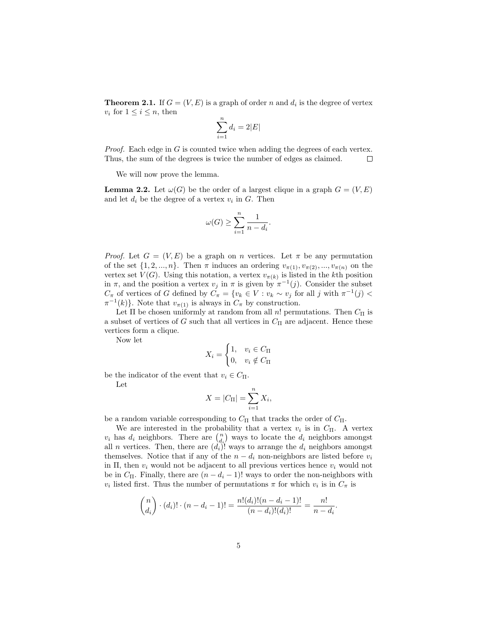**Theorem 2.1.** If  $G = (V, E)$  is a graph of order n and  $d_i$  is the degree of vertex  $v_i$  for  $1 \leq i \leq n$ , then

$$
\sum_{i=1}^{n} d_i = 2|E|
$$

*Proof.* Each edge in  $G$  is counted twice when adding the degrees of each vertex. Thus, the sum of the degrees is twice the number of edges as claimed.  $\Box$ 

We will now prove the lemma.

**Lemma 2.2.** Let  $\omega(G)$  be the order of a largest clique in a graph  $G = (V, E)$ and let  $d_i$  be the degree of a vertex  $v_i$  in  $G$ . Then

$$
\omega(G) \ge \sum_{i=1}^n \frac{1}{n-d_i}.
$$

*Proof.* Let  $G = (V, E)$  be a graph on n vertices. Let  $\pi$  be any permutation of the set  $\{1, 2, ..., n\}$ . Then  $\pi$  induces an ordering  $v_{\pi(1)}, v_{\pi(2)}, ..., v_{\pi(n)}$  on the vertex set  $V(G)$ . Using this notation, a vertex  $v_{\pi(k)}$  is listed in the k<sup>th</sup> position in  $\pi$ , and the position a vertex  $v_j$  in  $\pi$  is given by  $\pi^{-1}(j)$ . Consider the subset  $C_{\pi}$  of vertices of G defined by  $\tilde{C}_{\pi} = \{v_k \in V : v_k \sim v_j \text{ for all } j \text{ with } \pi^{-1}(j)$  $\pi^{-1}(k)$ . Note that  $v_{\pi(1)}$  is always in  $C_{\pi}$  by construction.

Let  $\Pi$  be chosen uniformly at random from all n! permutations. Then  $C_{\Pi}$  is a subset of vertices of G such that all vertices in  $C_{\Pi}$  are adjacent. Hence these vertices form a clique.

Now let

$$
X_i = \begin{cases} 1, & v_i \in C_{\Pi} \\ 0, & v_i \notin C_{\Pi} \end{cases}
$$

be the indicator of the event that  $v_i \in C_{\Pi}$ . Let

$$
X = |C_{\Pi}| = \sum_{i=1}^{n} X_i,
$$

be a random variable corresponding to  $C_{\Pi}$  that tracks the order of  $C_{\Pi}$ .

We are interested in the probability that a vertex  $v_i$  is in  $C_{\Pi}$ . A vertex  $v_i$  has  $d_i$  neighbors. There are  $\binom{n}{d_i}$  ways to locate the  $d_i$  neighbors amongst all *n* vertices. Then, there are  $(d_i)$ ! ways to arrange the  $d_i$  neighbors amongst themselves. Notice that if any of the  $n - d_i$  non-neighbors are listed before  $v_i$ in Π, then  $v_i$  would not be adjacent to all previous vertices hence  $v_i$  would not be in  $C_{\Pi}$ . Finally, there are  $(n - d_i - 1)!$  ways to order the non-neighbors with  $v_i$  listed first. Thus the number of permutations  $\pi$  for which  $v_i$  is in  $C_{\pi}$  is

$$
\binom{n}{d_i} \cdot (d_i)! \cdot (n - d_i - 1)! = \frac{n!(d_i)!(n - d_i - 1)!}{(n - d_i)!(d_i)!} = \frac{n!}{n - d_i}.
$$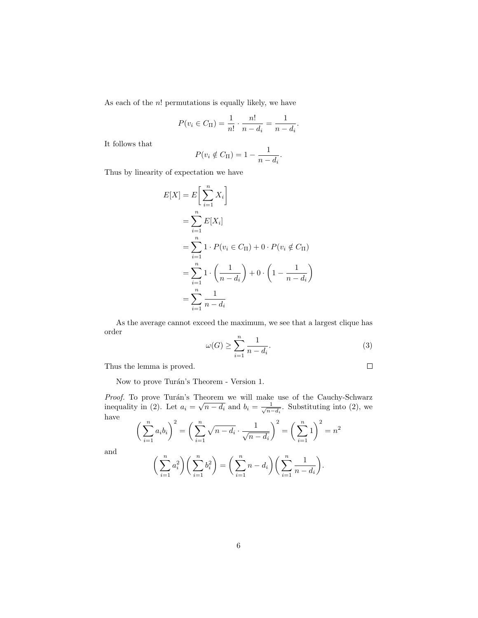As each of the  $n!$  permutations is equally likely, we have

$$
P(v_i \in C_{\Pi}) = \frac{1}{n!} \cdot \frac{n!}{n - d_i} = \frac{1}{n - d_i}
$$

It follows that

$$
P(v_i \notin C_{\Pi}) = 1 - \frac{1}{n - d_i}.
$$

Thus by linearity of expectation we have

$$
E[X] = E\left[\sum_{i=1}^{n} X_i\right]
$$
  
=  $\sum_{i=1}^{n} E[X_i]$   
=  $\sum_{i=1}^{n} 1 \cdot P(v_i \in C_{\Pi}) + 0 \cdot P(v_i \notin C_{\Pi})$   
=  $\sum_{i=1}^{n} 1 \cdot \left(\frac{1}{n - d_i}\right) + 0 \cdot \left(1 - \frac{1}{n - d_i}\right)$   
=  $\sum_{i=1}^{n} \frac{1}{n - d_i}$ 

As the average cannot exceed the maximum, we see that a largest clique has order

$$
\omega(G) \ge \sum_{i=1}^{n} \frac{1}{n - d_i}.\tag{3}
$$

 $\Box$ 

.

Thus the lemma is proved.

Now to prove Turán's Theorem - Version 1.

*Proof.* To prove Turán's Theorem we will make use of the Cauchy-Schwarz inequality in (2). Let  $a_i = \sqrt{n - d_i}$  and  $b_i = \frac{1}{\sqrt{n}}$  $\frac{1}{\overline{n}-d_i}$ . Substituting into (2), we have

$$
\left(\sum_{i=1}^{n} a_i b_i\right)^2 = \left(\sum_{i=1}^{n} \sqrt{n - d_i} \cdot \frac{1}{\sqrt{n - d_i}}\right)^2 = \left(\sum_{i=1}^{n} 1\right)^2 = n^2
$$

and

$$
\left(\sum_{i=1}^{n} a_i^2\right) \left(\sum_{i=1}^{n} b_i^2\right) = \left(\sum_{i=1}^{n} n - d_i\right) \left(\sum_{i=1}^{n} \frac{1}{n - d_i}\right).
$$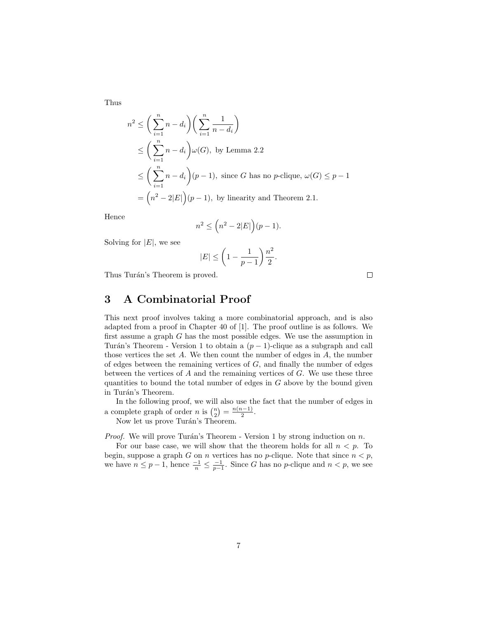Thus

$$
n^2 \le \left(\sum_{i=1}^n n - d_i\right) \left(\sum_{i=1}^n \frac{1}{n - d_i}\right)
$$
  
\n
$$
\le \left(\sum_{i=1}^n n - d_i\right) \omega(G), \text{ by Lemma 2.2}
$$
  
\n
$$
\le \left(\sum_{i=1}^n n - d_i\right) (p - 1), \text{ since } G \text{ has no } p \text{-clique, } \omega(G) \le p - 1
$$
  
\n
$$
= \left(n^2 - 2|E|\right) (p - 1), \text{ by linearity and Theorem 2.1.}
$$

Hence

$$
n^2 \le \left(n^2 - 2|E|\right)(p-1).
$$

Solving for  $|E|$ , we see

$$
|E| \le \left(1 - \frac{1}{p-1}\right) \frac{n^2}{2}.
$$

Thus Turán's Theorem is proved.

### 3 A Combinatorial Proof

This next proof involves taking a more combinatorial approach, and is also adapted from a proof in Chapter 40 of [1]. The proof outline is as follows. We first assume a graph G has the most possible edges. We use the assumption in Turán's Theorem - Version 1 to obtain a  $(p-1)$ -clique as a subgraph and call those vertices the set  $A$ . We then count the number of edges in  $A$ , the number of edges between the remaining vertices of  $G$ , and finally the number of edges between the vertices of  $A$  and the remaining vertices of  $G$ . We use these three quantities to bound the total number of edges in  $G$  above by the bound given in Turán's Theorem.

In the following proof, we will also use the fact that the number of edges in a complete graph of order *n* is  $\binom{n}{2} = \frac{n(n-1)}{2}$  $\frac{i-1j}{2}$ .

Now let us prove Turán's Theorem.

*Proof.* We will prove Turán's Theorem - Version 1 by strong induction on  $n$ .

For our base case, we will show that the theorem holds for all  $n < p$ . To begin, suppose a graph G on n vertices has no p-clique. Note that since  $n < p$ , we have  $n \leq p-1$ , hence  $\frac{-1}{n} \leq \frac{-1}{p-1}$ . Since G has no p-clique and  $n < p$ , we see

 $\Box$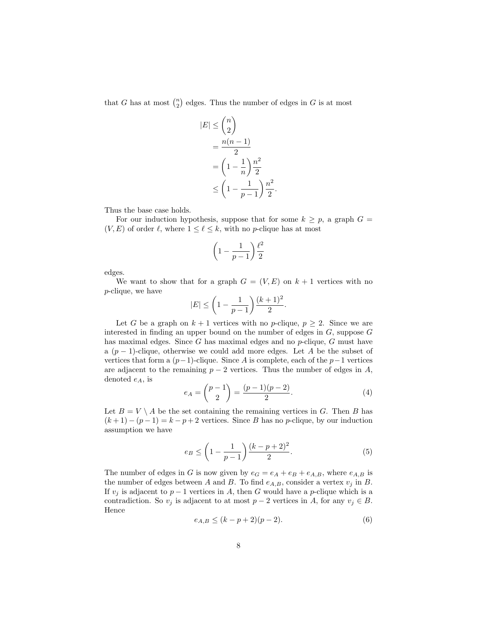that G has at most  $\binom{n}{2}$  edges. Thus the number of edges in G is at most

$$
|E| \leq {n \choose 2}
$$
  
= 
$$
\frac{n(n-1)}{2}
$$
  
= 
$$
(1 - \frac{1}{n})\frac{n^2}{2}
$$
  

$$
\leq (1 - \frac{1}{p-1})\frac{n^2}{2}
$$

Thus the base case holds.

For our induction hypothesis, suppose that for some  $k \geq p$ , a graph  $G =$  $(V, E)$  of order  $\ell$ , where  $1 \leq \ell \leq k$ , with no p-clique has at most

$$
\left(1 - \frac{1}{p-1}\right) \frac{\ell^2}{2}
$$

edges.

We want to show that for a graph  $G = (V, E)$  on  $k + 1$  vertices with no p-clique, we have

$$
|E| \leq \bigg(1-\frac{1}{p-1}\bigg) \frac{(k+1)^2}{2}.
$$

Let G be a graph on  $k+1$  vertices with no p-clique,  $p \geq 2$ . Since we are interested in finding an upper bound on the number of edges in  $G$ , suppose  $G$ has maximal edges. Since G has maximal edges and no  $p$ -clique, G must have a  $(p-1)$ -clique, otherwise we could add more edges. Let A be the subset of vertices that form a  $(p-1)$ -clique. Since A is complete, each of the  $p-1$  vertices are adjacent to the remaining  $p - 2$  vertices. Thus the number of edges in A, denoted  $e_A$ , is

$$
e_A = \binom{p-1}{2} = \frac{(p-1)(p-2)}{2}.
$$
 (4)

.

Let  $B = V \setminus A$  be the set containing the remaining vertices in G. Then B has  $(k+1)-(p-1)=k-p+2$  vertices. Since B has no p-clique, by our induction assumption we have

$$
e_B \le \left(1 - \frac{1}{p-1}\right) \frac{(k-p+2)^2}{2}.\tag{5}
$$

The number of edges in G is now given by  $e_G = e_A + e_B + e_{A,B}$ , where  $e_{A,B}$  is the number of edges between A and B. To find  $e_{A,B}$ , consider a vertex  $v_j$  in B. If  $v_j$  is adjacent to  $p-1$  vertices in A, then G would have a p-clique which is a contradiction. So  $v_j$  is adjacent to at most  $p-2$  vertices in A, for any  $v_j \in B$ . Hence

$$
e_{A,B} \le (k - p + 2)(p - 2). \tag{6}
$$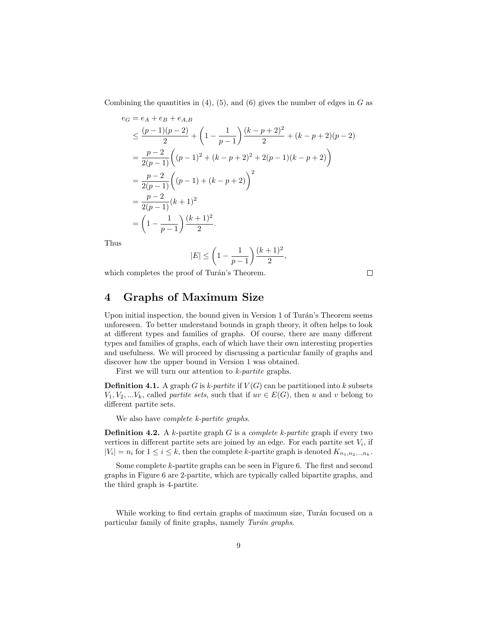Combining the quantities in  $(4)$ ,  $(5)$ , and  $(6)$  gives the number of edges in G as

$$
e_G = e_A + e_B + e_{A,B}
$$
  
\n
$$
\leq \frac{(p-1)(p-2)}{2} + \left(1 - \frac{1}{p-1}\right) \frac{(k-p+2)^2}{2} + (k-p+2)(p-2)
$$
  
\n
$$
= \frac{p-2}{2(p-1)} \left( (p-1)^2 + (k-p+2)^2 + 2(p-1)(k-p+2) \right)
$$
  
\n
$$
= \frac{p-2}{2(p-1)} \left( (p-1) + (k-p+2) \right)^2
$$
  
\n
$$
= \frac{p-2}{2(p-1)} (k+1)^2
$$
  
\n
$$
= \left(1 - \frac{1}{p-1}\right) \frac{(k+1)^2}{2}.
$$

Thus

$$
|E| \le \bigg(1 - \frac{1}{p-1}\bigg)\frac{(k+1)^2}{2},
$$

which completes the proof of Turán's Theorem.

 $\Box$ 

#### 4 Graphs of Maximum Size

Upon initial inspection, the bound given in Version 1 of Turán's Theorem seems unforeseen. To better understand bounds in graph theory, it often helps to look at different types and families of graphs. Of course, there are many different types and families of graphs, each of which have their own interesting properties and usefulness. We will proceed by discussing a particular family of graphs and discover how the upper bound in Version 1 was obtained.

First we will turn our attention to *k*-partite graphs.

**Definition 4.1.** A graph G is k-partite if  $V(G)$  can be partitioned into k subsets  $V_1, V_2, \ldots V_k$ , called *partite sets*, such that if  $uv \in E(G)$ , then u and v belong to different partite sets.

We also have *complete k-partite graphs*.

**Definition 4.2.** A k-partite graph  $G$  is a *complete k-partite* graph if every two vertices in different partite sets are joined by an edge. For each partite set  $V_i$ , if  $|V_i| = n_i$  for  $1 \le i \le k$ , then the complete k-partite graph is denoted  $K_{n_1, n_2, \ldots, n_k}$ .

Some complete k-partite graphs can be seen in Figure 6. The first and second graphs in Figure 6 are 2-partite, which are typically called bipartite graphs, and the third graph is 4-partite.

While working to find certain graphs of maximum size, Turán focused on a particular family of finite graphs, namely Turán graphs.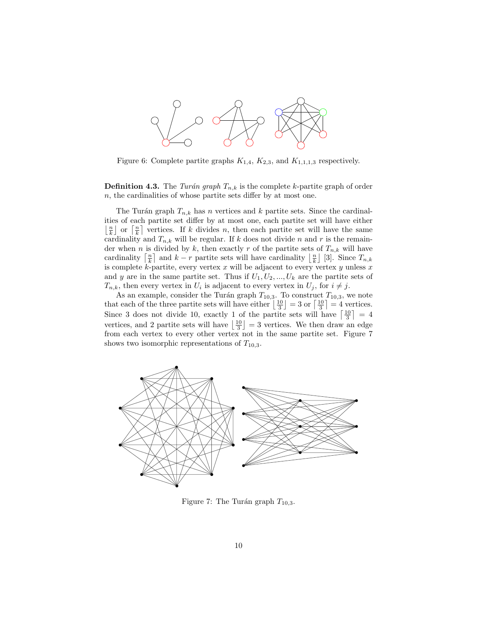

Figure 6: Complete partite graphs  $K_{1,4}$ ,  $K_{2,3}$ , and  $K_{1,1,1,3}$  respectively.

**Definition 4.3.** The Turán graph  $T_{n,k}$  is the complete k-partite graph of order n, the cardinalities of whose partite sets differ by at most one.

The Turán graph  $T_{n,k}$  has n vertices and k partite sets. Since the cardinalities of each partite set differ by at most one, each partite set will have either  $\lfloor \frac{n}{k} \rfloor$  or  $\lceil \frac{n}{k} \rceil$  vertices. If k divides n, then each partite set will have the same cardinality and  $T_{n,k}$  will be regular. If k does not divide n and r is the remainder when n is divided by k, then exactly r of the partite sets of  $T_{n,k}$  will have cardinality  $\left\lceil \frac{n}{k} \right\rceil$  and  $k-r$  partite sets will have cardinality  $\left\lfloor \frac{n}{k} \right\rfloor$  [3]. Since  $T_{n,k}$ is complete k-partite, every vertex  $x$  will be adjacent to every vertex  $y$  unless  $x$ and y are in the same partite set. Thus if  $U_1, U_2, ..., U_k$  are the partite sets of  $T_{n,k}$ , then every vertex in  $U_i$  is adjacent to every vertex in  $U_j$ , for  $i \neq j$ .

As an example, consider the Turán graph  $T_{10,3}$ . To construct  $T_{10,3}$ , we note that each of the three partite sets will have either  $\left\lfloor \frac{10}{3} \right\rfloor = 3$  or  $\left\lceil \frac{10}{3} \right\rceil = 4$  vertices. Since 3 does not divide 10, exactly 1 of the partite sets will have  $\left\lceil \frac{10}{3} \right\rceil = 4$ vertices, and 2 partite sets will have  $\left\lfloor \frac{10}{3} \right\rfloor = 3$  vertices. We then draw an edge from each vertex to every other vertex not in the same partite set. Figure 7 shows two isomorphic representations of  $T_{10,3}$ .



Figure 7: The Turán graph  $T_{10,3}$ .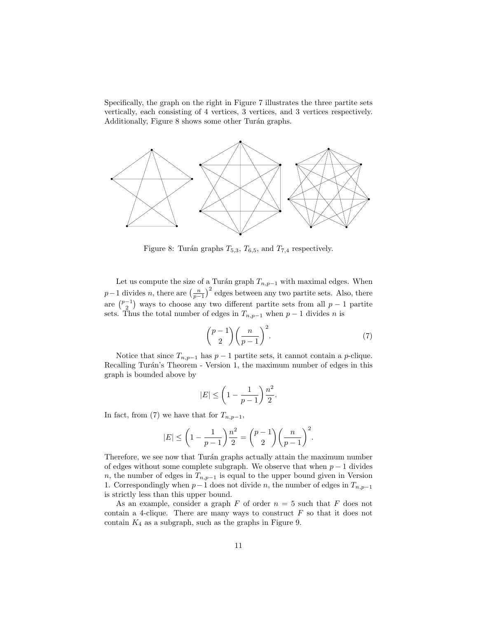Specifically, the graph on the right in Figure 7 illustrates the three partite sets vertically, each consisting of 4 vertices, 3 vertices, and 3 vertices respectively. Additionally, Figure 8 shows some other Turán graphs.



Figure 8: Turán graphs  $T_{5,3}$ ,  $T_{6,5}$ , and  $T_{7,4}$  respectively.

Let us compute the size of a Turán graph  $T_{n,p-1}$  with maximal edges. When  $p-1$  divides n, there are  $\left(\frac{n}{p-1}\right)^2$  edges between any two partite sets. Also, there are  $\binom{p-1}{2}$  ways to choose any two different partite sets from all  $p-1$  partite sets. Thus the total number of edges in  $T_{n,p-1}$  when  $p-1$  divides n is

$$
\binom{p-1}{2}\left(\frac{n}{p-1}\right)^2.\tag{7}
$$

Notice that since  $T_{n,p-1}$  has  $p-1$  partite sets, it cannot contain a p-clique. Recalling Turán's Theorem - Version 1, the maximum number of edges in this graph is bounded above by

$$
|E| \le \left(1 - \frac{1}{p-1}\right) \frac{n^2}{2}.
$$

In fact, from (7) we have that for  $T_{n,p-1}$ ,

$$
|E| \le \left(1 - \frac{1}{p-1}\right) \frac{n^2}{2} = {p-1 \choose 2} \left(\frac{n}{p-1}\right)^2.
$$

Therefore, we see now that Turán graphs actually attain the maximum number of edges without some complete subgraph. We observe that when  $p-1$  divides n, the number of edges in  $T_{n,p-1}$  is equal to the upper bound given in Version 1. Correspondingly when  $p-1$  does not divide n, the number of edges in  $T_{n,p-1}$ is strictly less than this upper bound.

As an example, consider a graph  $F$  of order  $n = 5$  such that  $F$  does not contain a 4-clique. There are many ways to construct  $F$  so that it does not contain  $K_4$  as a subgraph, such as the graphs in Figure 9.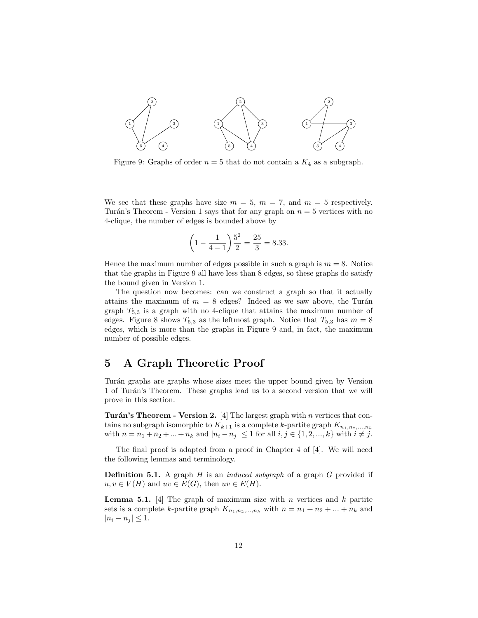

Figure 9: Graphs of order  $n = 5$  that do not contain a  $K_4$  as a subgraph.

We see that these graphs have size  $m = 5$ ,  $m = 7$ , and  $m = 5$  respectively. Turán's Theorem - Version 1 says that for any graph on  $n = 5$  vertices with no 4-clique, the number of edges is bounded above by

$$
\left(1 - \frac{1}{4 - 1}\right) \frac{5^2}{2} = \frac{25}{3} = 8.33.
$$

Hence the maximum number of edges possible in such a graph is  $m = 8$ . Notice that the graphs in Figure 9 all have less than 8 edges, so these graphs do satisfy the bound given in Version 1.

The question now becomes: can we construct a graph so that it actually attains the maximum of  $m = 8$  edges? Indeed as we saw above, the Turán graph  $T_{5,3}$  is a graph with no 4-clique that attains the maximum number of edges. Figure 8 shows  $T_{5,3}$  as the leftmost graph. Notice that  $T_{5,3}$  has  $m = 8$ edges, which is more than the graphs in Figure 9 and, in fact, the maximum number of possible edges.

#### 5 A Graph Theoretic Proof

Turán graphs are graphs whose sizes meet the upper bound given by Version 1 of Turán's Theorem. These graphs lead us to a second version that we will prove in this section.

Turán's Theorem - Version 2. [4] The largest graph with n vertices that contains no subgraph isomorphic to  $K_{k+1}$  is a complete k-partite graph  $K_{n_1,n_2,...,n_k}$ with  $n = n_1 + n_2 + ... + n_k$  and  $|n_i - n_j| \leq 1$  for all  $i, j \in \{1, 2, ..., k\}$  with  $i \neq j$ .

The final proof is adapted from a proof in Chapter 4 of [4]. We will need the following lemmas and terminology.

**Definition 5.1.** A graph  $H$  is an *induced subgraph* of a graph  $G$  provided if  $u, v \in V(H)$  and  $uv \in E(G)$ , then  $uv \in E(H)$ .

**Lemma 5.1.** [4] The graph of maximum size with n vertices and k partite sets is a complete k-partite graph  $K_{n_1,n_2,...,n_k}$  with  $n = n_1 + n_2 + ... + n_k$  and  $|n_i - n_j| \leq 1.$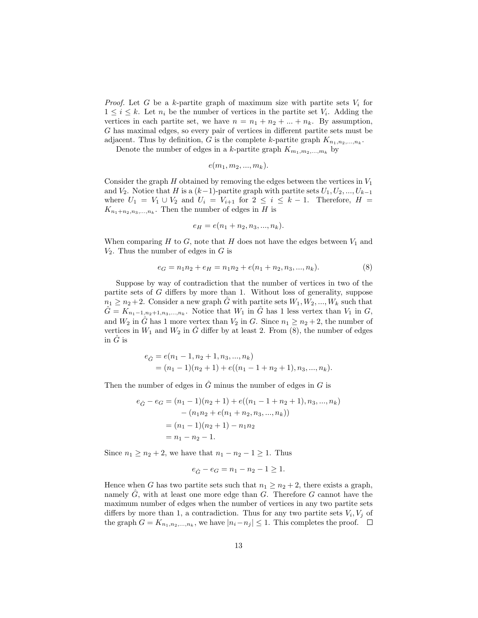*Proof.* Let G be a k-partite graph of maximum size with partite sets  $V_i$  for  $1 \leq i \leq k$ . Let  $n_i$  be the number of vertices in the partite set  $V_i$ . Adding the vertices in each partite set, we have  $n = n_1 + n_2 + ... + n_k$ . By assumption, G has maximal edges, so every pair of vertices in different partite sets must be adjacent. Thus by definition, G is the complete k-partite graph  $K_{n_1,n_2,...,n_k}$ .

Denote the number of edges in a k-partite graph  $K_{m_1,m_2,...,m_k}$  by

$$
e(m_1, m_2, \ldots, m_k).
$$

Consider the graph H obtained by removing the edges between the vertices in  $V_1$ and  $V_2$ . Notice that H is a  $(k-1)$ -partite graph with partite sets  $U_1, U_2, ..., U_{k-1}$ where  $U_1 = V_1 \cup V_2$  and  $U_i = V_{i+1}$  for  $2 \leq i \leq k-1$ . Therefore,  $H =$  $K_{n_1+n_2,n_3,\ldots,n_k}$ . Then the number of edges in H is

$$
e_H = e(n_1 + n_2, n_3, ..., n_k).
$$

When comparing  $H$  to  $G$ , note that  $H$  does not have the edges between  $V_1$  and  $V_2$ . Thus the number of edges in G is

$$
e_G = n_1 n_2 + e_H = n_1 n_2 + e(n_1 + n_2, n_3, ..., n_k). \tag{8}
$$

Suppose by way of contradiction that the number of vertices in two of the partite sets of G differs by more than 1. Without loss of generality, suppose  $n_1 \geq n_2+2$ . Consider a new graph G with partite sets  $W_1, W_2, ..., W_k$  such that  $\hat{G} = K_{n_1-1,n_2+1,n_3,...,n_k}$ . Notice that  $W_1$  in  $\hat{G}$  has 1 less vertex than  $V_1$  in  $G$ , and  $W_2$  in  $\hat{G}$  has 1 more vertex than  $V_2$  in  $G$ . Since  $n_1 \geq n_2 + 2$ , the number of vertices in  $W_1$  and  $W_2$  in  $\hat{G}$  differ by at least 2. From (8), the number of edges in  $\hat{G}$  is

$$
e_{\hat{G}} = e(n_1 - 1, n_2 + 1, n_3, ..., n_k)
$$
  
=  $(n_1 - 1)(n_2 + 1) + e((n_1 - 1 + n_2 + 1), n_3, ..., n_k).$ 

Then the number of edges in  $\hat{G}$  minus the number of edges in G is

$$
e_{\hat{G}} - e_G = (n_1 - 1)(n_2 + 1) + e((n_1 - 1 + n_2 + 1), n_3, ..., n_k)
$$

$$
- (n_1 n_2 + e(n_1 + n_2, n_3, ..., n_k))
$$

$$
= (n_1 - 1)(n_2 + 1) - n_1 n_2
$$

$$
= n_1 - n_2 - 1.
$$

Since  $n_1 \ge n_2 + 2$ , we have that  $n_1 - n_2 - 1 \ge 1$ . Thus

$$
e_{\hat{G}} - e_G = n_1 - n_2 - 1 \ge 1.
$$

Hence when G has two partite sets such that  $n_1 \geq n_2 + 2$ , there exists a graph, namely  $\tilde{G}$ , with at least one more edge than  $G$ . Therefore  $G$  cannot have the maximum number of edges when the number of vertices in any two partite sets differs by more than 1, a contradiction. Thus for any two partite sets  $V_i$ ,  $V_j$  of the graph  $G = K_{n_1, n_2, ..., n_k}$ , we have  $|n_i - n_j| \leq 1$ . This completes the proof.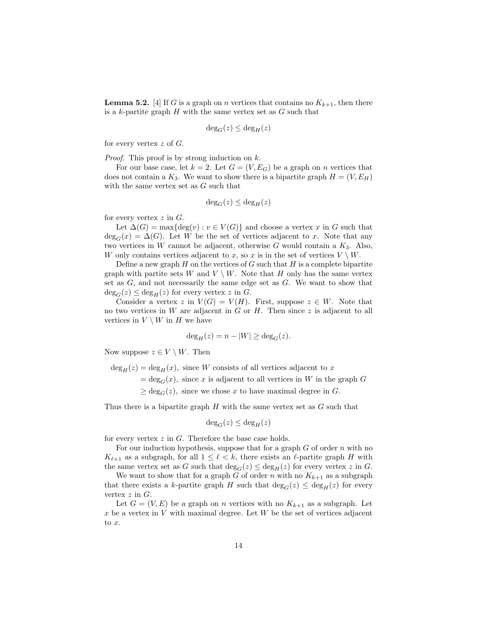**Lemma 5.2.** [4] If G is a graph on n vertices that contains no  $K_{k+1}$ , then there is a  $k$ -partite graph  $H$  with the same vertex set as  $G$  such that

$$
\deg_G(z) \le \deg_H(z)
$$

for every vertex  $z$  of  $G$ .

*Proof.* This proof is by strong induction on  $k$ .

For our base case, let  $k = 2$ . Let  $G = (V, E_G)$  be a graph on n vertices that does not contain a  $K_3$ . We want to show there is a bipartite graph  $H = (V, E_H)$ with the same vertex set as G such that

$$
\deg_G(z) \le \deg_H(z)
$$

for every vertex  $z$  in  $G$ .

Let  $\Delta(G) = \max\{\deg(v) : v \in V(G)\}\$  and choose a vertex x in G such that  $deg_G(x) = \Delta(G)$ . Let W be the set of vertices adjacent to x. Note that any two vertices in W cannot be adjacent, otherwise G would contain a  $K_3$ . Also, W only contains vertices adjacent to x, so x is in the set of vertices  $V \setminus W$ .

Define a new graph  $H$  on the vertices of  $G$  such that  $H$  is a complete bipartite graph with partite sets W and  $V \setminus W$ . Note that H only has the same vertex set as G, and not necessarily the same edge set as G. We want to show that  $deg_G(z) \le deg_H(z)$  for every vertex z in G.

Consider a vertex z in  $V(G) = V(H)$ . First, suppose  $z \in W$ . Note that no two vertices in  $W$  are adjacent in  $G$  or  $H$ . Then since  $z$  is adjacent to all vertices in  $V \setminus W$  in H we have

$$
\deg_H(z) = n - |W| \ge \deg_G(z).
$$

Now suppose  $z \in V \setminus W$ . Then

 $deg_H(z) = deg_H(x)$ , since W consists of all vertices adjacent to x

 $=\deg_G(x)$ , since x is adjacent to all vertices in W in the graph G

 $\geq$  deg<sub>C</sub>(z), since we chose x to have maximal degree in G.

Thus there is a bipartite graph  $H$  with the same vertex set as  $G$  such that

$$
\deg_G(z) \le \deg_H(z)
$$

for every vertex  $z$  in  $G$ . Therefore the base case holds.

For our induction hypothesis, suppose that for a graph  $G$  of order  $n$  with no  $K_{\ell+1}$  as a subgraph, for all  $1 \leq \ell < k$ , there exists an  $\ell$ -partite graph H with the same vertex set as G such that  $\deg_G(z) \leq \deg_H(z)$  for every vertex z in G.

We want to show that for a graph G of order n with no  $K_{k+1}$  as a subgraph that there exists a k-partite graph H such that  $deg_G(z) \leq deg_H(z)$  for every vertex  $z$  in  $G$ .

Let  $G = (V, E)$  be a graph on *n* vertices with no  $K_{k+1}$  as a subgraph. Let  $x$  be a vertex in  $V$  with maximal degree. Let  $W$  be the set of vertices adjacent to x.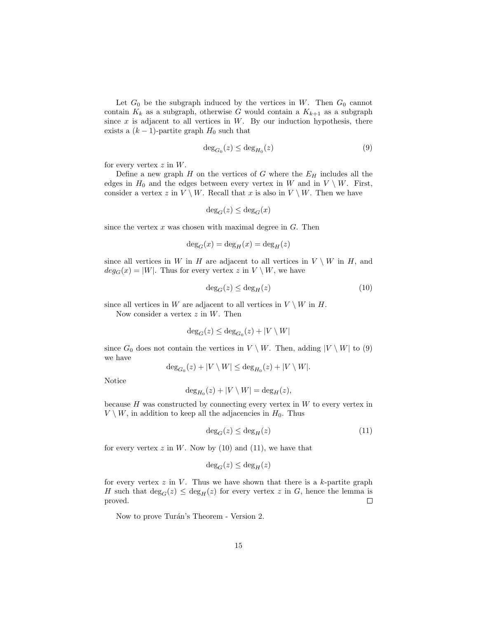Let  $G_0$  be the subgraph induced by the vertices in W. Then  $G_0$  cannot contain  $K_k$  as a subgraph, otherwise G would contain a  $K_{k+1}$  as a subgraph since  $x$  is adjacent to all vertices in  $W$ . By our induction hypothesis, there exists a  $(k-1)$ -partite graph  $H_0$  such that

$$
\deg_{G_0}(z) \le \deg_{H_0}(z) \tag{9}
$$

for every vertex  $z$  in  $W$ .

Define a new graph  $H$  on the vertices of  $G$  where the  $E_H$  includes all the edges in  $H_0$  and the edges between every vertex in W and in  $V \setminus W$ . First, consider a vertex z in  $V \setminus W$ . Recall that x is also in  $V \setminus W$ . Then we have

$$
\deg_G(z) \le \deg_G(x)
$$

since the vertex  $x$  was chosen with maximal degree in  $G$ . Then

$$
\deg_G(x) = \deg_H(x) = \deg_H(z)
$$

since all vertices in W in H are adjacent to all vertices in  $V \setminus W$  in H, and  $deg_G(x) = |W|$ . Thus for every vertex z in  $V \setminus W$ , we have

$$
\deg_G(z) \le \deg_H(z) \tag{10}
$$

since all vertices in W are adjacent to all vertices in  $V \setminus W$  in H.

Now consider a vertex  $z$  in  $W$ . Then

$$
\deg_G(z)\leq \deg_{G_0}(z)+|V\setminus W|
$$

since  $G_0$  does not contain the vertices in  $V \setminus W$ . Then, adding  $|V \setminus W|$  to (9) we have

$$
\deg_{G_0}(z) + |V \setminus W| \le \deg_{H_0}(z) + |V \setminus W|.
$$

Notice

$$
\deg_{H_0}(z) + |V \setminus W| = \deg_H(z),
$$

because  $H$  was constructed by connecting every vertex in  $W$  to every vertex in  $V \setminus W$ , in addition to keep all the adjacencies in  $H_0$ . Thus

$$
\deg_G(z) \le \deg_H(z) \tag{11}
$$

for every vertex  $z$  in  $W$ . Now by (10) and (11), we have that

$$
\deg_G(z) \le \deg_H(z)
$$

for every vertex  $z$  in  $V$ . Thus we have shown that there is a  $k$ -partite graph H such that  $deg_G(z) \le deg_H(z)$  for every vertex z in G, hence the lemma is proved. proved.

Now to prove Turán's Theorem - Version 2.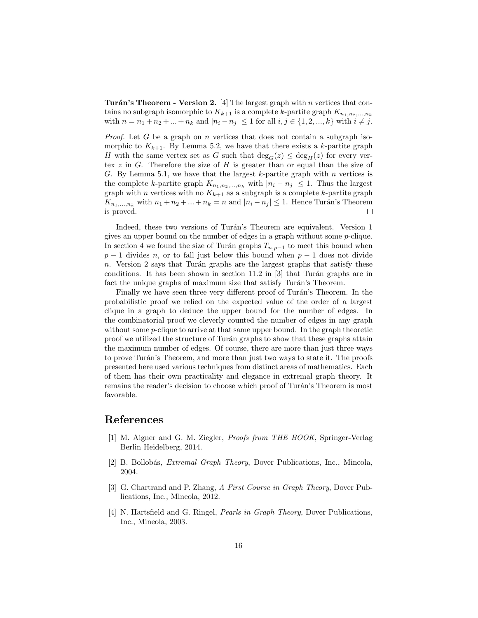**Turán's Theorem - Version 2.** [4] The largest graph with n vertices that contains no subgraph isomorphic to  $K_{k+1}$  is a complete k-partite graph  $K_{n_1,n_2,...,n_k}$ with  $n = n_1 + n_2 + ... + n_k$  and  $|n_i - n_j| \leq 1$  for all  $i, j \in \{1, 2, ..., k\}$  with  $i \neq j$ .

*Proof.* Let G be a graph on n vertices that does not contain a subgraph isomorphic to  $K_{k+1}$ . By Lemma 5.2, we have that there exists a k-partite graph H with the same vertex set as G such that  $deg_G(z) \leq deg_H(z)$  for every vertex  $z$  in  $G$ . Therefore the size of  $H$  is greater than or equal than the size of G. By Lemma 5.1, we have that the largest k-partite graph with n vertices is the complete k-partite graph  $K_{n_1,n_2,...,n_k}$  with  $|n_i - n_j| \leq 1$ . Thus the largest graph with *n* vertices with no  $K_{k+1}$  as a subgraph is a complete k-partite graph  $K_{n_1,...,n_k}$  with  $n_1 + n_2 + ... + n_k = n$  and  $|n_i - n_j| \leq 1$ . Hence Turán's Theorem is proved.  $\Box$ 

Indeed, these two versions of Turán's Theorem are equivalent. Version 1 gives an upper bound on the number of edges in a graph without some  $p$ -clique. In section 4 we found the size of Turán graphs  $T_{n,p-1}$  to meet this bound when  $p-1$  divides n, or to fall just below this bound when  $p-1$  does not divide n. Version 2 says that Turán graphs are the largest graphs that satisfy these conditions. It has been shown in section  $11.2$  in [3] that Turán graphs are in fact the unique graphs of maximum size that satisfy Turán's Theorem.

Finally we have seen three very different proof of Turán's Theorem. In the probabilistic proof we relied on the expected value of the order of a largest clique in a graph to deduce the upper bound for the number of edges. In the combinatorial proof we cleverly counted the number of edges in any graph without some *p*-clique to arrive at that same upper bound. In the graph theoretic proof we utilized the structure of Turán graphs to show that these graphs attain the maximum number of edges. Of course, there are more than just three ways to prove Turán's Theorem, and more than just two ways to state it. The proofs presented here used various techniques from distinct areas of mathematics. Each of them has their own practicality and elegance in extremal graph theory. It remains the reader's decision to choose which proof of Turán's Theorem is most favorable.

#### References

- [1] M. Aigner and G. M. Ziegler, Proofs from THE BOOK, Springer-Verlag Berlin Heidelberg, 2014.
- [2] B. Bollobás, *Extremal Graph Theory*, Dover Publications, Inc., Mineola, 2004.
- [3] G. Chartrand and P. Zhang, A First Course in Graph Theory, Dover Publications, Inc., Mineola, 2012.
- [4] N. Hartsfield and G. Ringel, Pearls in Graph Theory, Dover Publications, Inc., Mineola, 2003.